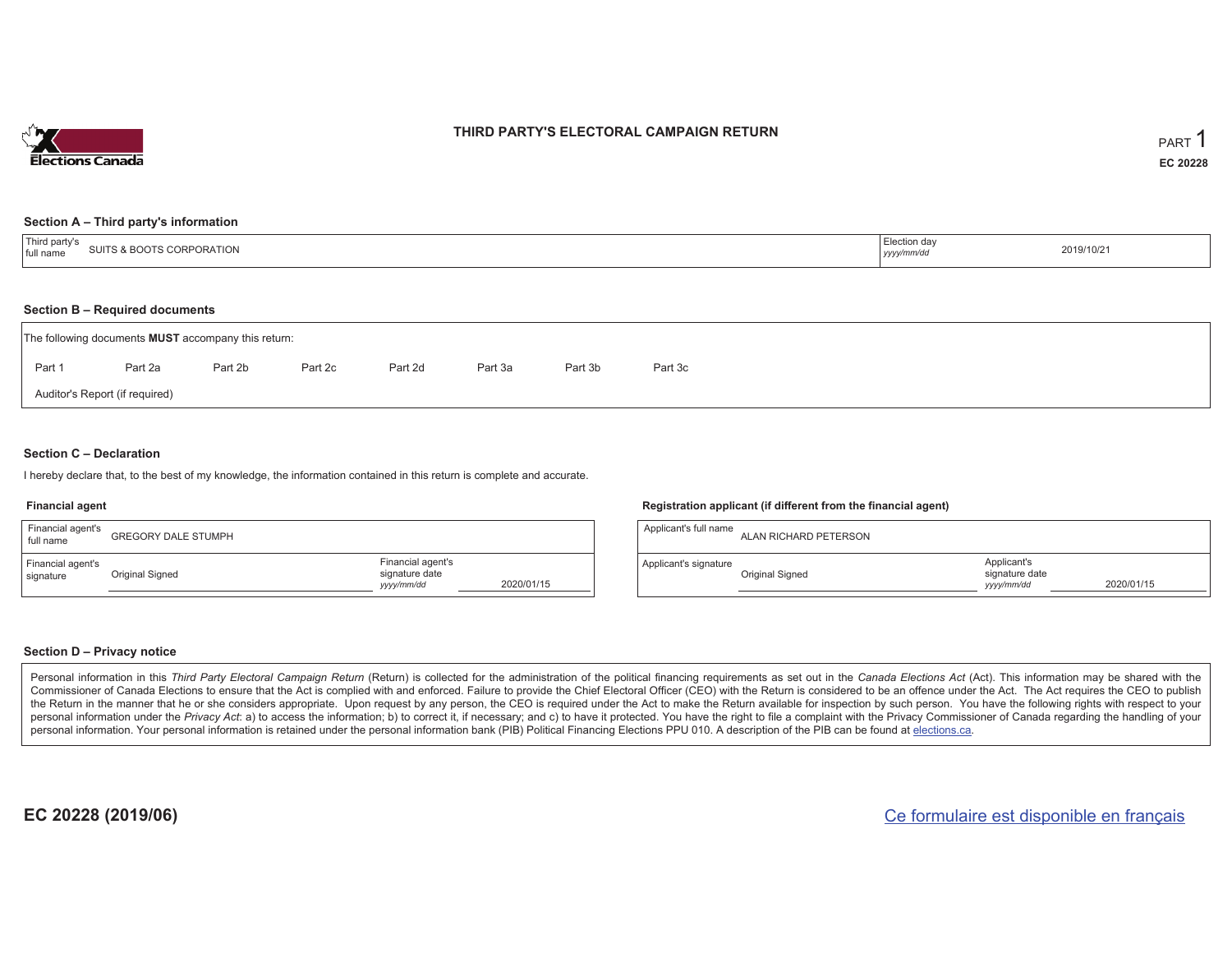

### **THIRD PARTY'S ELECTORAL CAMPAIGN RETURN**

#### **Section A – Third party's information**

| Third party s<br>SUITS & BOOTS CORPORATION<br>full<br>name | Election day<br>1000<br>yyyy/mm/d <sup>.</sup> | 2019/10/21 |
|------------------------------------------------------------|------------------------------------------------|------------|
|------------------------------------------------------------|------------------------------------------------|------------|

#### **Section B – Required documents**

| The following documents <b>MUST</b> accompany this return: |         |         |         |         |         |         |         |  |  |  |  |  |
|------------------------------------------------------------|---------|---------|---------|---------|---------|---------|---------|--|--|--|--|--|
| Part 1                                                     | Part 2a | Part 2b | Part 2c | Part 2d | Part 3a | Part 3b | Part 3c |  |  |  |  |  |
| Auditor's Report (if required)                             |         |         |         |         |         |         |         |  |  |  |  |  |

### **Section C – Declaration**

I hereby declare that, to the best of my knowledge, the information contained in this return is complete and accurate.

#### **Financial agent**

| Financial agent's<br>full name | <b>GREGORY DALE STUMPH</b> |                                                                 | Applicar |
|--------------------------------|----------------------------|-----------------------------------------------------------------|----------|
| Financial agent's<br>signature | Original Signed            | Financial agent's<br>signature date<br>2020/01/15<br>yyyy/mm/dd | Applicar |

#### **Registration applicant (if different from the financial agent)**

| Applicant's full name | ALAN RICHARD PETERSON |                                             |            |
|-----------------------|-----------------------|---------------------------------------------|------------|
| Applicant's signature | Original Signed       | Applicant's<br>signature date<br>yyyy/mm/dd | 2020/01/15 |

#### **Section D – Privacy notice**

Personal information in this Third Party Electoral Campaign Return (Return) is collected for the administration of the political financing requirements as set out in the Canada Elections Act (Act). This information may be Commissioner of Canada Elections to ensure that the Act is complied with and enforced. Failure to provide the Chief Electoral Officer (CEO) with the Return is considered to be an offence under the Act. The Act requires the the Return in the manner that he or she considers appropriate. Upon request by any person, the CEO is required under the Act to make the Return available for inspection by such person. You have the following rights with re personal information under the Privacy Act: a) to access the information; b) to correct it, if necessary; and c) to have it protected. You have the right to file a complaint with the Privacy Commissioner of Canada regardin personal information. Your personal information is retained under the personal information bank (PIB) Political Financing Elections PPU 010. A description of the PIB can be found at elections.ca.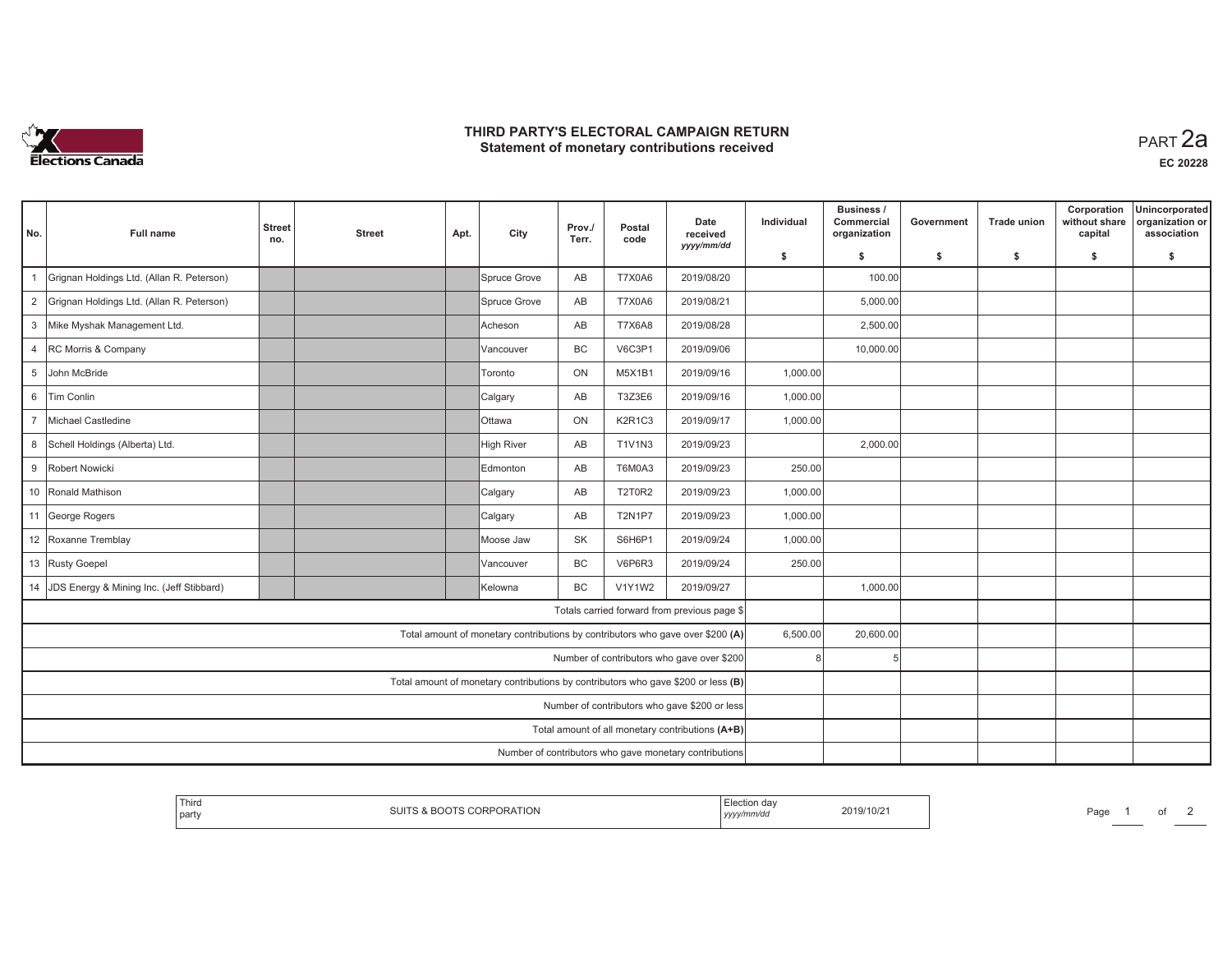

## **THIRD PARTY'S ELECTORAL CAMPAIGN RETURN HIRD PARTY'S ELECTORAL CAMPAIGN RETURN<br>Statement of monetary contributions received PART 2a**

**EC 20228**

| No.         | <b>Full name</b>                                       | <b>Street</b><br>no. | <b>Street</b> | Apt. | City            | Prov./<br>Terr. | Postal<br>code | Date<br>received<br>yyyy/mm/dd                                                    | Individual   | Business /<br>Commercial<br>organization | Government | <b>Trade union</b> | Corporation<br>without share<br>capital | Unincorporated<br>organization or<br>association |
|-------------|--------------------------------------------------------|----------------------|---------------|------|-----------------|-----------------|----------------|-----------------------------------------------------------------------------------|--------------|------------------------------------------|------------|--------------------|-----------------------------------------|--------------------------------------------------|
|             |                                                        |                      |               |      |                 |                 |                |                                                                                   | \$           | \$                                       | \$         | \$                 | \$                                      | \$                                               |
|             | Grignan Holdings Ltd. (Allan R. Peterson)              |                      |               |      | Spruce Grove    | AB              | <b>T7X0A6</b>  | 2019/08/20                                                                        |              | 100.00                                   |            |                    |                                         |                                                  |
|             | 2 Grignan Holdings Ltd. (Allan R. Peterson)            |                      |               |      | Spruce Grove    | AB              | <b>T7X0A6</b>  | 2019/08/21                                                                        |              | 5,000.00                                 |            |                    |                                         |                                                  |
|             | 3 Mike Myshak Management Ltd.                          |                      |               |      | Acheson         | AB              | <b>T7X6A8</b>  | 2019/08/28                                                                        |              | 2,500.00                                 |            |                    |                                         |                                                  |
|             | 4 RC Morris & Company                                  |                      |               |      | Vancouver       | BC              | V6C3P1         | 2019/09/06                                                                        |              | 10,000.00                                |            |                    |                                         |                                                  |
| $5^{\circ}$ | John McBride                                           |                      |               |      | Toronto         | ON              | <b>M5X1B1</b>  | 2019/09/16                                                                        | 1,000.00     |                                          |            |                    |                                         |                                                  |
|             | 6 Tim Conlin                                           |                      |               |      | Calgary         | AB              | T3Z3E6         | 2019/09/16                                                                        | 1,000.00     |                                          |            |                    |                                         |                                                  |
|             | 7 Michael Castledine                                   |                      |               |      | Ottawa          | ON              | K2R1C3         | 2019/09/17                                                                        | 1,000.00     |                                          |            |                    |                                         |                                                  |
|             | 8 Schell Holdings (Alberta) Ltd.                       |                      |               |      | High River      | AB              | <b>T1V1N3</b>  | 2019/09/23                                                                        |              | 2,000.00                                 |            |                    |                                         |                                                  |
|             | 9 Robert Nowicki                                       |                      |               |      | <b>Edmonton</b> | AB              | T6M0A3         | 2019/09/23                                                                        | 250.00       |                                          |            |                    |                                         |                                                  |
|             | 10 Ronald Mathison                                     |                      |               |      | Calgary         | AB              | <b>T2T0R2</b>  | 2019/09/23                                                                        | 1,000.00     |                                          |            |                    |                                         |                                                  |
|             | 11 George Rogers                                       |                      |               |      | Calgary         | AB              | <b>T2N1P7</b>  | 2019/09/23                                                                        | 1,000.00     |                                          |            |                    |                                         |                                                  |
|             | 12 Roxanne Tremblay                                    |                      |               |      | Moose Jaw       | <b>SK</b>       | S6H6P1         | 2019/09/24                                                                        | 1,000.00     |                                          |            |                    |                                         |                                                  |
|             | 13 Rusty Goepel                                        |                      |               |      | Vancouver       | BC              | V6P6R3         | 2019/09/24                                                                        | 250.00       |                                          |            |                    |                                         |                                                  |
|             | 14 JDS Energy & Mining Inc. (Jeff Stibbard)            |                      |               |      | Kelowna         | BC              | <b>V1Y1W2</b>  | 2019/09/27                                                                        |              | 1,000.00                                 |            |                    |                                         |                                                  |
|             |                                                        |                      |               |      |                 |                 |                | Totals carried forward from previous page \$                                      |              |                                          |            |                    |                                         |                                                  |
|             |                                                        |                      |               |      |                 |                 |                | Total amount of monetary contributions by contributors who gave over \$200 (A)    | 6,500.00     | 20,600.00                                |            |                    |                                         |                                                  |
|             |                                                        |                      |               |      |                 |                 |                | Number of contributors who gave over \$200                                        | $\mathsf{R}$ |                                          |            |                    |                                         |                                                  |
|             |                                                        |                      |               |      |                 |                 |                | Total amount of monetary contributions by contributors who gave \$200 or less (B) |              |                                          |            |                    |                                         |                                                  |
|             | Number of contributors who gave \$200 or less          |                      |               |      |                 |                 |                |                                                                                   |              |                                          |            |                    |                                         |                                                  |
|             |                                                        |                      |               |      |                 |                 |                | Total amount of all monetary contributions (A+B)                                  |              |                                          |            |                    |                                         |                                                  |
|             | Number of contributors who gave monetary contributions |                      |               |      |                 |                 |                |                                                                                   |              |                                          |            |                    |                                         |                                                  |

| Third<br>:019/10/2<br>∧ ⊂ור<br>party<br><b>- 112</b><br>,,,,, | Page |
|---------------------------------------------------------------|------|
|---------------------------------------------------------------|------|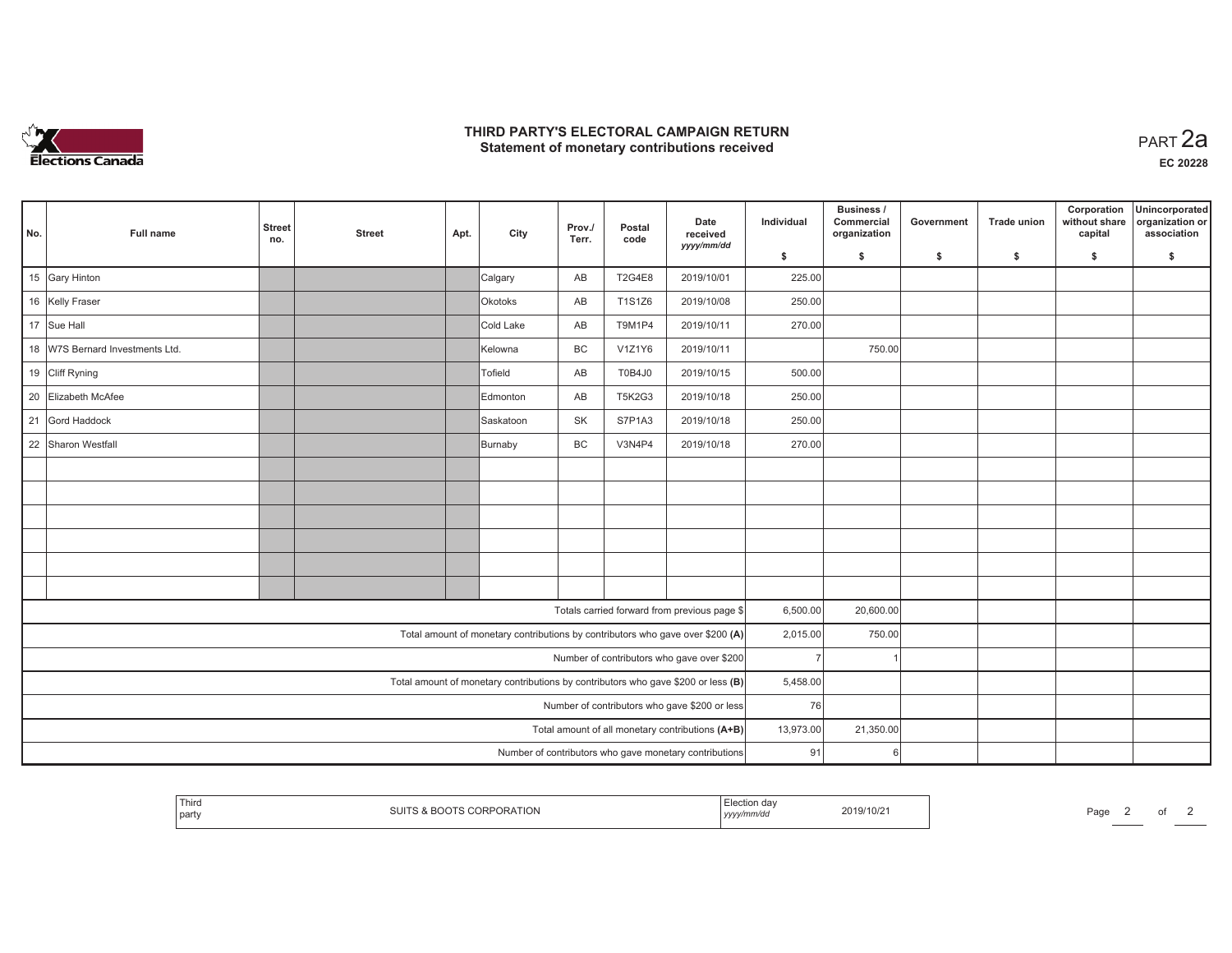

## **THIRD PARTY'S ELECTORAL CAMPAIGN RETURN HIRD PARTY'S ELECTORAL CAMPAIGN RETURN<br>Statement of monetary contributions received PART 2a**

| No. | Full name                                              | <b>Street</b><br>no. | <b>Street</b> | Apt. | City                                                                           | Prov./<br>Terr. | Postal<br>code | Date<br>received<br>yyyy/mm/dd                                                    | Individual | Business /<br>Commercial<br>organization | Government | Trade union | Corporation<br>without share<br>capital | Unincorporated<br>organization or<br>association |
|-----|--------------------------------------------------------|----------------------|---------------|------|--------------------------------------------------------------------------------|-----------------|----------------|-----------------------------------------------------------------------------------|------------|------------------------------------------|------------|-------------|-----------------------------------------|--------------------------------------------------|
|     |                                                        |                      |               |      |                                                                                |                 |                |                                                                                   | \$         | S.                                       | -\$        | -\$         | \$                                      | \$                                               |
|     | 15 Gary Hinton                                         |                      |               |      | Calgary                                                                        | AB              | <b>T2G4E8</b>  | 2019/10/01                                                                        | 225.00     |                                          |            |             |                                         |                                                  |
|     | 16 Kelly Fraser                                        |                      |               |      | <b>Okotoks</b>                                                                 | AB              | T1S1Z6         | 2019/10/08                                                                        | 250.00     |                                          |            |             |                                         |                                                  |
|     | 17 Sue Hall                                            |                      |               |      | Cold Lake                                                                      | AB              | T9M1P4         | 2019/10/11                                                                        | 270.00     |                                          |            |             |                                         |                                                  |
|     | 18 W7S Bernard Investments Ltd.                        |                      |               |      | Kelowna                                                                        | BC              | V1Z1Y6         | 2019/10/11                                                                        |            | 750.00                                   |            |             |                                         |                                                  |
|     | 19 Cliff Ryning                                        |                      |               |      | Tofield                                                                        | AB              | T0B4J0         | 2019/10/15                                                                        | 500.00     |                                          |            |             |                                         |                                                  |
| 20  | Elizabeth McAfee                                       |                      |               |      | Edmonton                                                                       | AB              | <b>T5K2G3</b>  | 2019/10/18                                                                        | 250.00     |                                          |            |             |                                         |                                                  |
| 21  | Gord Haddock                                           |                      |               |      | Saskatoon                                                                      | SK              | S7P1A3         | 2019/10/18                                                                        | 250.00     |                                          |            |             |                                         |                                                  |
|     | 22 Sharon Westfall                                     |                      |               |      | Burnaby                                                                        | BC              | V3N4P4         | 2019/10/18                                                                        | 270.00     |                                          |            |             |                                         |                                                  |
|     |                                                        |                      |               |      |                                                                                |                 |                |                                                                                   |            |                                          |            |             |                                         |                                                  |
|     |                                                        |                      |               |      |                                                                                |                 |                |                                                                                   |            |                                          |            |             |                                         |                                                  |
|     |                                                        |                      |               |      |                                                                                |                 |                |                                                                                   |            |                                          |            |             |                                         |                                                  |
|     |                                                        |                      |               |      |                                                                                |                 |                |                                                                                   |            |                                          |            |             |                                         |                                                  |
|     |                                                        |                      |               |      |                                                                                |                 |                |                                                                                   |            |                                          |            |             |                                         |                                                  |
|     |                                                        |                      |               |      |                                                                                |                 |                |                                                                                   |            |                                          |            |             |                                         |                                                  |
|     |                                                        |                      |               |      |                                                                                |                 |                | Totals carried forward from previous page \$                                      | 6,500.00   | 20,600.00                                |            |             |                                         |                                                  |
|     |                                                        |                      |               |      | Total amount of monetary contributions by contributors who gave over \$200 (A) |                 |                |                                                                                   | 2,015.00   | 750.00                                   |            |             |                                         |                                                  |
|     |                                                        |                      |               |      |                                                                                |                 |                | Number of contributors who gave over \$200                                        |            |                                          |            |             |                                         |                                                  |
|     |                                                        |                      |               |      |                                                                                |                 |                | Total amount of monetary contributions by contributors who gave \$200 or less (B) | 5,458.00   |                                          |            |             |                                         |                                                  |
|     | Number of contributors who gave \$200 or less          |                      |               |      |                                                                                |                 |                | 76                                                                                |            |                                          |            |             |                                         |                                                  |
|     | Total amount of all monetary contributions (A+B)       |                      |               |      |                                                                                |                 |                |                                                                                   | 13,973.00  | 21,350.00                                |            |             |                                         |                                                  |
|     | Number of contributors who gave monetary contributions |                      |               |      |                                                                                |                 |                |                                                                                   | 91         | 6                                        |            |             |                                         |                                                  |

|  | Third<br>party | <b>PORATION</b> | , yyyy<br>$-1$ | 2019/10/2 | Page |  |  |  |  |
|--|----------------|-----------------|----------------|-----------|------|--|--|--|--|
|--|----------------|-----------------|----------------|-----------|------|--|--|--|--|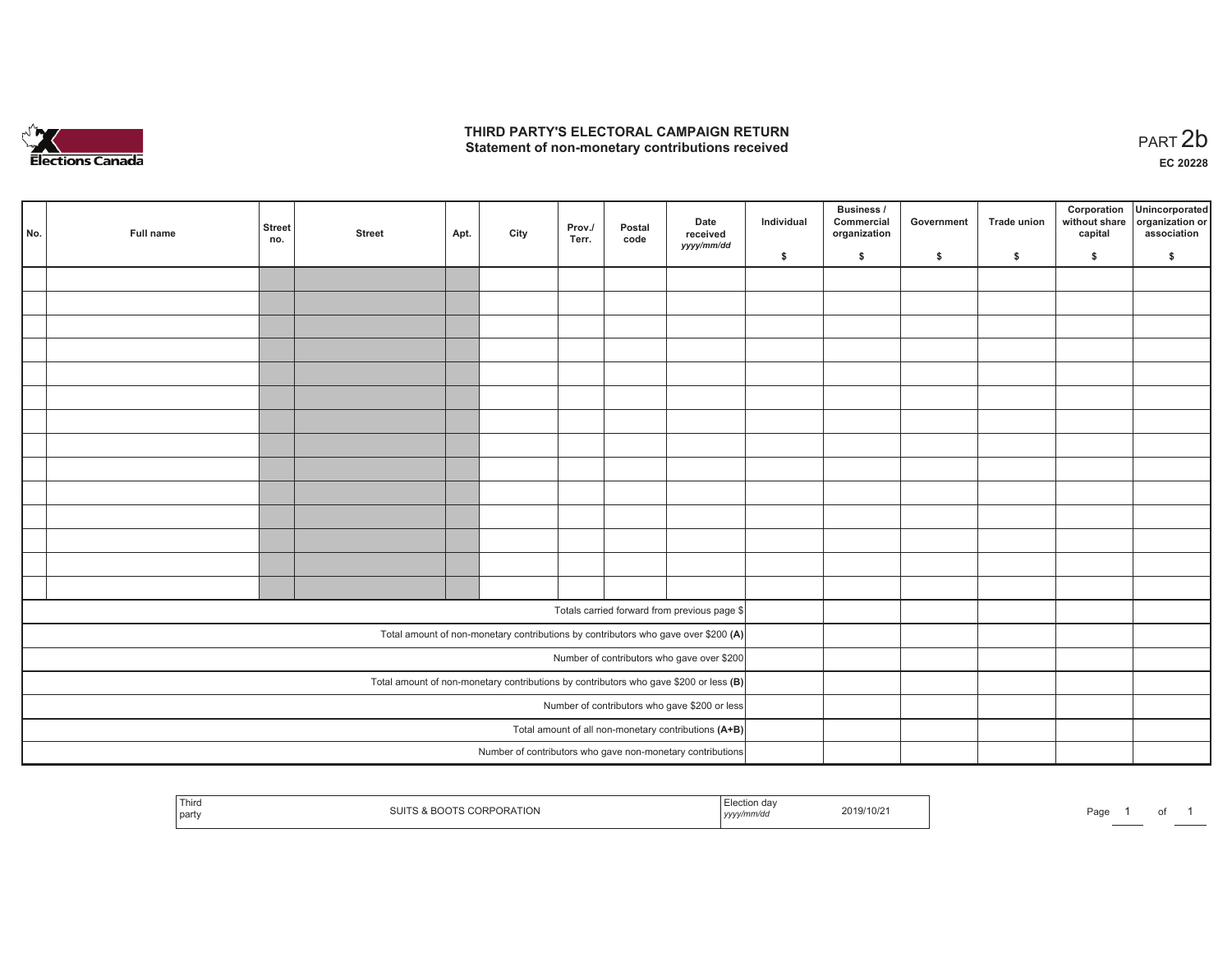

## **THIRD PARTY'S ELECTORAL CAMPAIGN RETURN**  THIRD PARTY'S ELECTORAL CAMPAIGN RETURN<br>Statement of non-monetary contributions received

1 of 1

| No. | Full name                                                                             | <b>Street</b><br>no. | <b>Street</b> | Apt. | City | Prov./<br>Terr. | Postal<br>code | Date<br>received<br>yyyy/mm/dd                                                     | Individual | <b>Business /</b><br>Commercial<br>organization | Government | Trade union | Corporation<br>capital | Unincorporated<br>without share organization or<br>association |
|-----|---------------------------------------------------------------------------------------|----------------------|---------------|------|------|-----------------|----------------|------------------------------------------------------------------------------------|------------|-------------------------------------------------|------------|-------------|------------------------|----------------------------------------------------------------|
|     |                                                                                       |                      |               |      |      |                 |                |                                                                                    | \$         | \$                                              | \$         | \$          | \$                     | \$                                                             |
|     |                                                                                       |                      |               |      |      |                 |                |                                                                                    |            |                                                 |            |             |                        |                                                                |
|     |                                                                                       |                      |               |      |      |                 |                |                                                                                    |            |                                                 |            |             |                        |                                                                |
|     |                                                                                       |                      |               |      |      |                 |                |                                                                                    |            |                                                 |            |             |                        |                                                                |
|     |                                                                                       |                      |               |      |      |                 |                |                                                                                    |            |                                                 |            |             |                        |                                                                |
|     |                                                                                       |                      |               |      |      |                 |                |                                                                                    |            |                                                 |            |             |                        |                                                                |
|     |                                                                                       |                      |               |      |      |                 |                |                                                                                    |            |                                                 |            |             |                        |                                                                |
|     |                                                                                       |                      |               |      |      |                 |                |                                                                                    |            |                                                 |            |             |                        |                                                                |
|     |                                                                                       |                      |               |      |      |                 |                |                                                                                    |            |                                                 |            |             |                        |                                                                |
|     |                                                                                       |                      |               |      |      |                 |                |                                                                                    |            |                                                 |            |             |                        |                                                                |
|     |                                                                                       |                      |               |      |      |                 |                |                                                                                    |            |                                                 |            |             |                        |                                                                |
|     |                                                                                       |                      |               |      |      |                 |                |                                                                                    |            |                                                 |            |             |                        |                                                                |
|     |                                                                                       |                      |               |      |      |                 |                |                                                                                    |            |                                                 |            |             |                        |                                                                |
|     |                                                                                       |                      |               |      |      |                 |                |                                                                                    |            |                                                 |            |             |                        |                                                                |
|     |                                                                                       |                      |               |      |      |                 |                |                                                                                    |            |                                                 |            |             |                        |                                                                |
|     |                                                                                       |                      |               |      |      |                 |                | Totals carried forward from previous page \$                                       |            |                                                 |            |             |                        |                                                                |
|     |                                                                                       |                      |               |      |      |                 |                |                                                                                    |            |                                                 |            |             |                        |                                                                |
|     |                                                                                       |                      |               |      |      |                 |                | Total amount of non-monetary contributions by contributors who gave over \$200 (A) |            |                                                 |            |             |                        |                                                                |
|     |                                                                                       |                      |               |      |      |                 |                | Number of contributors who gave over \$200                                         |            |                                                 |            |             |                        |                                                                |
|     | Total amount of non-monetary contributions by contributors who gave \$200 or less (B) |                      |               |      |      |                 |                |                                                                                    |            |                                                 |            |             |                        |                                                                |
|     | Number of contributors who gave \$200 or less                                         |                      |               |      |      |                 |                |                                                                                    |            |                                                 |            |             |                        |                                                                |
|     |                                                                                       |                      |               |      |      |                 |                | Total amount of all non-monetary contributions (A+B)                               |            |                                                 |            |             |                        |                                                                |
|     | Number of contributors who gave non-monetary contributions                            |                      |               |      |      |                 |                |                                                                                    |            |                                                 |            |             |                        |                                                                |

| ' Third<br>party | <b>PORATION</b><br>$\lambda$ . $\lambda$<br>. ~ | Election dav<br>yyyy/mm/do | 2019/10/2 | Page |
|------------------|-------------------------------------------------|----------------------------|-----------|------|
|------------------|-------------------------------------------------|----------------------------|-----------|------|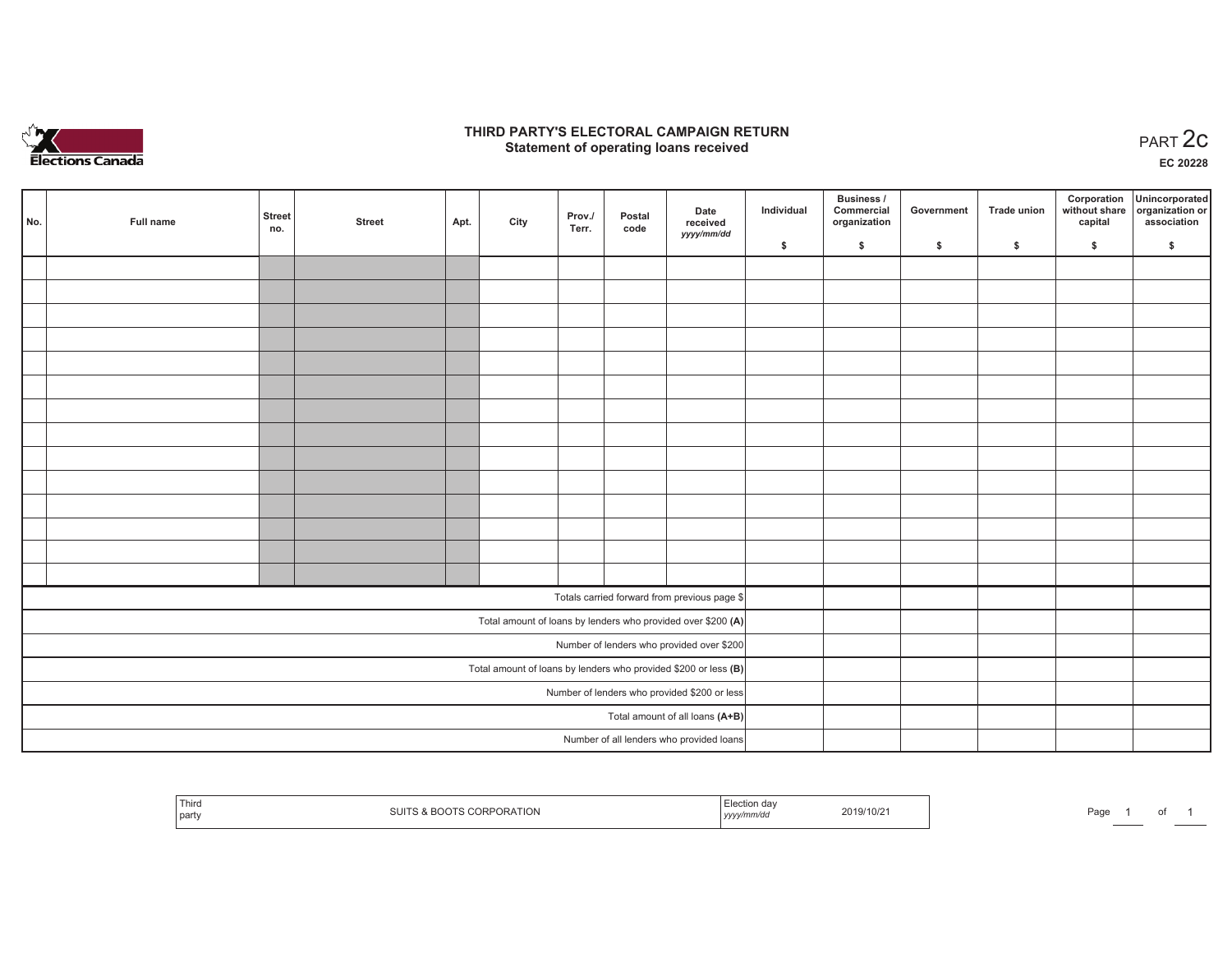

## **THIRD PARTY'S ELECTORAL CAMPAIGN RETURN STATE:** PERSON SELECTORAL CAMPAIGN RETURN<br>
Statement of operating loans received

**EC 20228**

| No. | Full name                                    | <b>Street</b><br>no. | <b>Street</b> | Apt. | City | Prov./<br>Terr. | Postal<br>code | Date<br>received                                                | Individual | Business /<br>Commercial<br>organization | Government | Trade union | Corporation<br>capital | Unincorporated<br>without share organization or<br>association |
|-----|----------------------------------------------|----------------------|---------------|------|------|-----------------|----------------|-----------------------------------------------------------------|------------|------------------------------------------|------------|-------------|------------------------|----------------------------------------------------------------|
|     |                                              |                      |               |      |      |                 |                | yyyy/mm/dd                                                      | \$         | \$                                       | \$         | \$          | \$                     | \$                                                             |
|     |                                              |                      |               |      |      |                 |                |                                                                 |            |                                          |            |             |                        |                                                                |
|     |                                              |                      |               |      |      |                 |                |                                                                 |            |                                          |            |             |                        |                                                                |
|     |                                              |                      |               |      |      |                 |                |                                                                 |            |                                          |            |             |                        |                                                                |
|     |                                              |                      |               |      |      |                 |                |                                                                 |            |                                          |            |             |                        |                                                                |
|     |                                              |                      |               |      |      |                 |                |                                                                 |            |                                          |            |             |                        |                                                                |
|     |                                              |                      |               |      |      |                 |                |                                                                 |            |                                          |            |             |                        |                                                                |
|     |                                              |                      |               |      |      |                 |                |                                                                 |            |                                          |            |             |                        |                                                                |
|     |                                              |                      |               |      |      |                 |                |                                                                 |            |                                          |            |             |                        |                                                                |
|     |                                              |                      |               |      |      |                 |                |                                                                 |            |                                          |            |             |                        |                                                                |
|     |                                              |                      |               |      |      |                 |                |                                                                 |            |                                          |            |             |                        |                                                                |
|     |                                              |                      |               |      |      |                 |                |                                                                 |            |                                          |            |             |                        |                                                                |
|     |                                              |                      |               |      |      |                 |                |                                                                 |            |                                          |            |             |                        |                                                                |
|     |                                              |                      |               |      |      |                 |                |                                                                 |            |                                          |            |             |                        |                                                                |
|     |                                              |                      |               |      |      |                 |                |                                                                 |            |                                          |            |             |                        |                                                                |
|     |                                              |                      |               |      |      |                 |                | Totals carried forward from previous page \$                    |            |                                          |            |             |                        |                                                                |
|     |                                              |                      |               |      |      |                 |                | Total amount of loans by lenders who provided over \$200 (A)    |            |                                          |            |             |                        |                                                                |
|     |                                              |                      |               |      |      |                 |                | Number of lenders who provided over \$200                       |            |                                          |            |             |                        |                                                                |
|     |                                              |                      |               |      |      |                 |                | Total amount of loans by lenders who provided \$200 or less (B) |            |                                          |            |             |                        |                                                                |
|     | Number of lenders who provided \$200 or less |                      |               |      |      |                 |                |                                                                 |            |                                          |            |             |                        |                                                                |
|     |                                              |                      |               |      |      |                 |                | Total amount of all loans (A+B)                                 |            |                                          |            |             |                        |                                                                |
|     | Number of all lenders who provided loans     |                      |               |      |      |                 |                |                                                                 |            |                                          |            |             |                        |                                                                |

| Third<br><b>ORATION</b><br>. .<br>party | 2019/10/21<br>.<br>,,,,,,,<br>,,,,, | Page |
|-----------------------------------------|-------------------------------------|------|
|-----------------------------------------|-------------------------------------|------|

of 1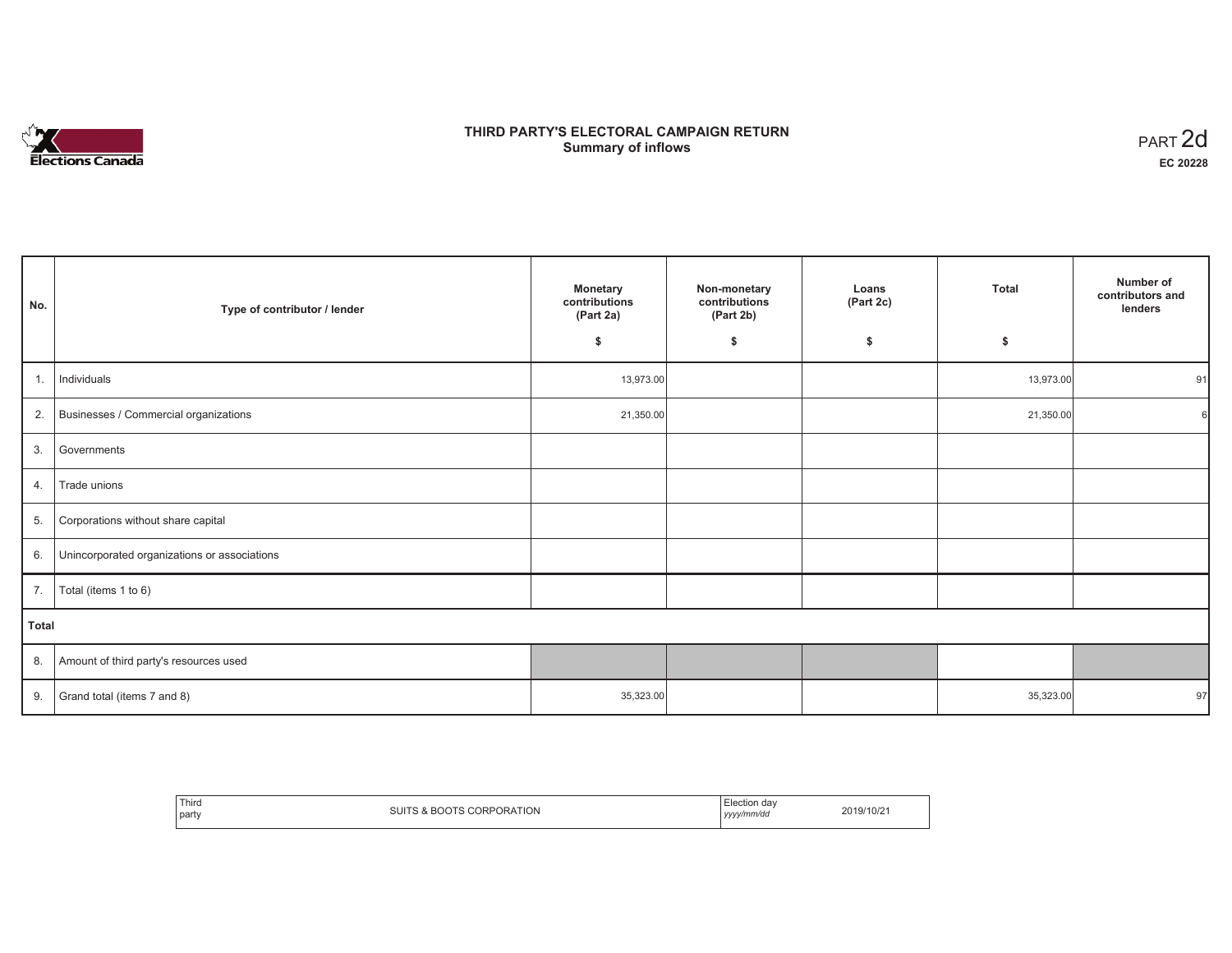

# **THIRD PARTY'S ELECTORAL CAMPAIGN RETURN Summary of inflows** PART 2d

| No.          | Type of contributor / lender                    | Monetary<br>contributions<br>(Part 2a) | Non-monetary<br>contributions<br>(Part 2b) | Loans<br>(Part 2c) | <b>Total</b> | Number of<br>contributors and<br>lenders |
|--------------|-------------------------------------------------|----------------------------------------|--------------------------------------------|--------------------|--------------|------------------------------------------|
|              |                                                 | \$                                     | \$                                         | S.                 | \$           |                                          |
| 1.           | Individuals                                     | 13,973.00                              |                                            |                    | 13,973.00    | 91                                       |
|              | 2. Businesses / Commercial organizations        | 21,350.00                              |                                            |                    | 21,350.00    |                                          |
|              | 3. Governments                                  |                                        |                                            |                    |              |                                          |
| 4.           | Trade unions                                    |                                        |                                            |                    |              |                                          |
| 5.           | Corporations without share capital              |                                        |                                            |                    |              |                                          |
|              | 6. Unincorporated organizations or associations |                                        |                                            |                    |              |                                          |
| 7.           | Total (items 1 to 6)                            |                                        |                                            |                    |              |                                          |
| <b>Total</b> |                                                 |                                        |                                            |                    |              |                                          |
|              | 8. Amount of third party's resources used       |                                        |                                            |                    |              |                                          |
| 9.           | Grand total (items 7 and 8)                     | 35,323.00                              |                                            |                    | 35,323.00    | 97                                       |

| Thira<br>party | <b>ORATION</b><br>$\sim$ | <sup>⊸+i</sup> ∩n dav<br><b>LIECUOH</b><br>yyyy/mm/dd | 2019/10/21 |
|----------------|--------------------------|-------------------------------------------------------|------------|
|----------------|--------------------------|-------------------------------------------------------|------------|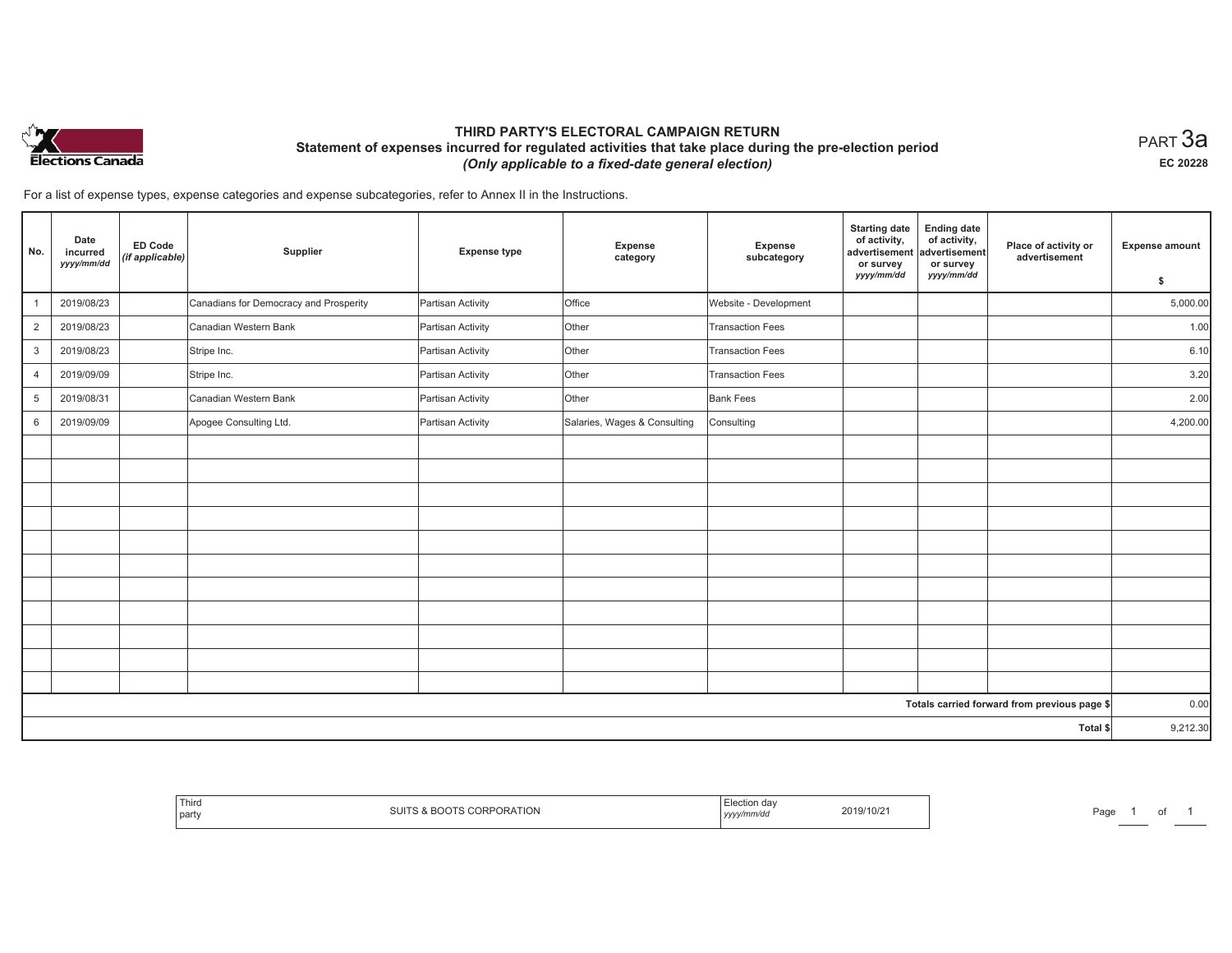

## **THIRD PARTY'S ELECTORAL CAMPAIGN RETURN Statement of expenses incurred for regulated activities that take place during the pre-election period**  *(Only applicable to a fixed-date general election)*

 $_{\sf PART}$ 3a **EC 20228**

For a list of expense types, expense categories and expense subcategories, refer to Annex II in the Instructions.

| No.            | Date<br>incurred<br>yyyy/mm/dd | <b>ED Code</b><br>(if applicable) | Supplier                               | <b>Expense type</b> | Expense<br>category          | <b>Expense</b><br>subcategory | <b>Starting date</b><br>of activity,<br>advertisement<br>or survey<br>yyyy/mm/dd | <b>Ending date</b><br>of activity,<br>advertisement<br>or survey<br>yyyy/mm/dd | Place of activity or<br>advertisement        | <b>Expense amount</b><br>\$ |
|----------------|--------------------------------|-----------------------------------|----------------------------------------|---------------------|------------------------------|-------------------------------|----------------------------------------------------------------------------------|--------------------------------------------------------------------------------|----------------------------------------------|-----------------------------|
| $\mathbf{1}$   | 2019/08/23                     |                                   | Canadians for Democracy and Prosperity | Partisan Activity   | Office                       | Website - Development         |                                                                                  |                                                                                |                                              | 5,000.00                    |
| 2              | 2019/08/23                     |                                   | Canadian Western Bank                  | Partisan Activity   | Other                        | <b>Transaction Fees</b>       |                                                                                  |                                                                                |                                              | 1.00                        |
| 3              | 2019/08/23                     |                                   | Stripe Inc.                            | Partisan Activity   | Other                        | <b>Transaction Fees</b>       |                                                                                  |                                                                                |                                              | 6.10                        |
| 4              | 2019/09/09                     |                                   | Stripe Inc.                            | Partisan Activity   | Other                        | <b>Transaction Fees</b>       |                                                                                  |                                                                                |                                              | 3.20                        |
| $\overline{5}$ | 2019/08/31                     |                                   | Canadian Western Bank                  | Partisan Activity   | Other                        | <b>Bank Fees</b>              |                                                                                  |                                                                                |                                              | 2.00                        |
| 6              | 2019/09/09                     |                                   | Apogee Consulting Ltd.                 | Partisan Activity   | Salaries, Wages & Consulting | Consulting                    |                                                                                  |                                                                                |                                              | 4,200.00                    |
|                |                                |                                   |                                        |                     |                              |                               |                                                                                  |                                                                                |                                              |                             |
|                |                                |                                   |                                        |                     |                              |                               |                                                                                  |                                                                                |                                              |                             |
|                |                                |                                   |                                        |                     |                              |                               |                                                                                  |                                                                                |                                              |                             |
|                |                                |                                   |                                        |                     |                              |                               |                                                                                  |                                                                                |                                              |                             |
|                |                                |                                   |                                        |                     |                              |                               |                                                                                  |                                                                                |                                              |                             |
|                |                                |                                   |                                        |                     |                              |                               |                                                                                  |                                                                                |                                              |                             |
|                |                                |                                   |                                        |                     |                              |                               |                                                                                  |                                                                                |                                              |                             |
|                |                                |                                   |                                        |                     |                              |                               |                                                                                  |                                                                                |                                              |                             |
|                |                                |                                   |                                        |                     |                              |                               |                                                                                  |                                                                                |                                              |                             |
|                |                                |                                   |                                        |                     |                              |                               |                                                                                  |                                                                                |                                              |                             |
|                |                                |                                   |                                        |                     |                              |                               |                                                                                  |                                                                                |                                              |                             |
|                |                                |                                   |                                        |                     |                              |                               |                                                                                  |                                                                                | Totals carried forward from previous page \$ | 0.00                        |
| Total \$       |                                |                                   |                                        |                     |                              |                               |                                                                                  |                                                                                | 9,212.30                                     |                             |

| Third<br>party | JRATION | ,,,,, | 201.<br>9/10/2 | ¬ - -<br>'aut |  |  |
|----------------|---------|-------|----------------|---------------|--|--|
|----------------|---------|-------|----------------|---------------|--|--|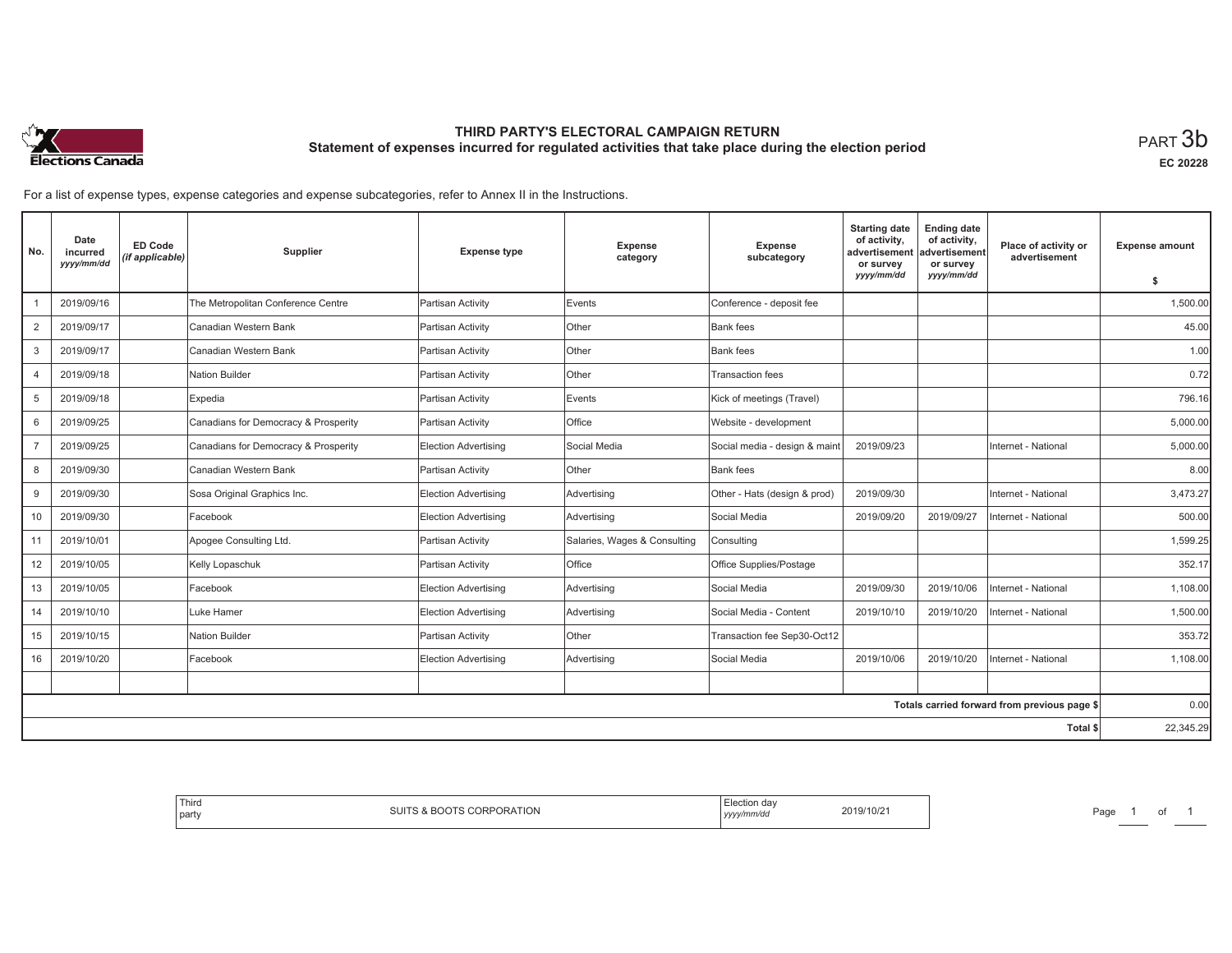

# **THIRD PARTY'S ELECTORAL CAMPAIGN RETURN Statement of expenses incurred for regulated activities that take place during the election period**<br>PART  $3\mathsf{b}$

**EC 20228**

For a list of expense types, expense categories and expense subcategories, refer to Annex II in the Instructions.

| No.            | Date<br>incurred<br>yyyy/mm/dd | <b>ED Code</b><br>(if applicable) | Supplier                             | <b>Expense type</b>         | <b>Expense</b><br>category   | <b>Expense</b><br>subcategory | <b>Starting date</b><br>of activity,<br>advertisement<br>or survey | <b>Ending date</b><br>of activity,<br>advertisement<br>or survey | Place of activity or<br>advertisement        | <b>Expense amount</b> |
|----------------|--------------------------------|-----------------------------------|--------------------------------------|-----------------------------|------------------------------|-------------------------------|--------------------------------------------------------------------|------------------------------------------------------------------|----------------------------------------------|-----------------------|
|                |                                |                                   |                                      |                             |                              |                               | yyyy/mm/dd                                                         | yyyy/mm/dd                                                       |                                              | \$                    |
|                | 2019/09/16                     |                                   | The Metropolitan Conference Centre   | Partisan Activity           | Events                       | Conference - deposit fee      |                                                                    |                                                                  |                                              | 1,500.00              |
| $\overline{2}$ | 2019/09/17                     |                                   | Canadian Western Bank                | Partisan Activity           | Other                        | Bank fees                     |                                                                    |                                                                  |                                              | 45.00                 |
| 3              | 2019/09/17                     |                                   | Canadian Western Bank                | Partisan Activity           | Other                        | Bank fees                     |                                                                    |                                                                  |                                              | 1.00                  |
| 4              | 2019/09/18                     |                                   | Nation Builder                       | Partisan Activity           | <b>Other</b>                 | <b>Transaction fees</b>       |                                                                    |                                                                  |                                              | 0.72                  |
| 5              | 2019/09/18                     |                                   | Expedia                              | Partisan Activity           | Events                       | Kick of meetings (Travel)     |                                                                    |                                                                  |                                              | 796.16                |
| 6              | 2019/09/25                     |                                   | Canadians for Democracy & Prosperity | Partisan Activity           | Office                       | Website - development         |                                                                    |                                                                  |                                              | 5,000.00              |
| $\overline{7}$ | 2019/09/25                     |                                   | Canadians for Democracy & Prosperity | Election Advertising        | Social Media                 | Social media - design & maint | 2019/09/23                                                         |                                                                  | Internet - National                          | 5,000.00              |
| 8              | 2019/09/30                     |                                   | Canadian Western Bank                | Partisan Activity           | Other                        | <b>Bank</b> fees              |                                                                    |                                                                  |                                              | 8.00                  |
| 9              | 2019/09/30                     |                                   | Sosa Original Graphics Inc.          | Election Advertising        | Advertising                  | Other - Hats (design & prod)  | 2019/09/30                                                         |                                                                  | Internet - National                          | 3,473.27              |
| 10             | 2019/09/30                     |                                   | Facebook                             | <b>Election Advertising</b> | Advertising                  | Social Media                  | 2019/09/20                                                         | 2019/09/27                                                       | Internet - National                          | 500.00                |
| 11             | 2019/10/01                     |                                   | Apogee Consulting Ltd.               | Partisan Activity           | Salaries, Wages & Consulting | Consulting                    |                                                                    |                                                                  |                                              | 1,599.25              |
| 12             | 2019/10/05                     |                                   | Kelly Lopaschuk                      | Partisan Activity           | Office                       | Office Supplies/Postage       |                                                                    |                                                                  |                                              | 352.17                |
| 13             | 2019/10/05                     |                                   | Facebook                             | <b>Election Advertising</b> | Advertising                  | Social Media                  | 2019/09/30                                                         | 2019/10/06                                                       | Internet - National                          | 1,108.00              |
| 14             | 2019/10/10                     |                                   | Luke Hamer                           | <b>Election Advertising</b> | Advertising                  | Social Media - Content        | 2019/10/10                                                         | 2019/10/20                                                       | Internet - National                          | 1,500.00              |
| 15             | 2019/10/15                     |                                   | Nation Builder                       | Partisan Activity           | Other                        | Transaction fee Sep30-Oct12   |                                                                    |                                                                  |                                              | 353.72                |
| 16             | 2019/10/20                     |                                   | Facebook                             | <b>Election Advertising</b> | Advertising                  | Social Media                  | 2019/10/06                                                         | 2019/10/20                                                       | Internet - National                          | 1,108.00              |
|                |                                |                                   |                                      |                             |                              |                               |                                                                    |                                                                  |                                              |                       |
|                |                                |                                   |                                      |                             |                              |                               |                                                                    |                                                                  | Totals carried forward from previous page \$ | 0.00                  |
|                |                                |                                   |                                      |                             |                              |                               |                                                                    |                                                                  | <b>Total \$</b>                              | 22,345.29             |

| Election dav<br>2019/10/21<br>yyyy/mm/dd | PORATION<br>3 & BOOTS CORP' |
|------------------------------------------|-----------------------------|
|------------------------------------------|-----------------------------|

Page 1 of 1